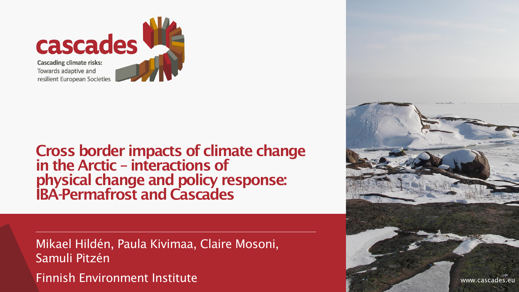

Cross border impacts of climate change in the Arctic – interactions of physical change and policy response: IBA-Permafrost and Cascades

Mikael Hildén, Paula Kivimaa, Claire Mosoni, Samuli Pitzén Finnish Environment Institute

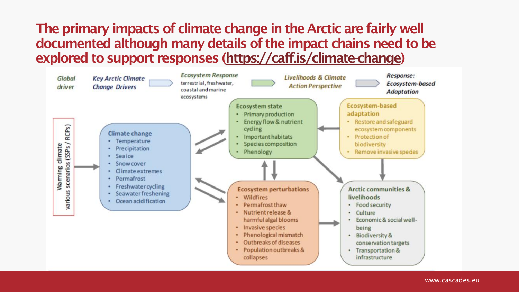## The primary impacts of climate change in the Arctic are fairly well documented although many details of the impact chains need to be explored to support responses [\(https://caff.is/climate-change\)](https://caff.is/climate-change)

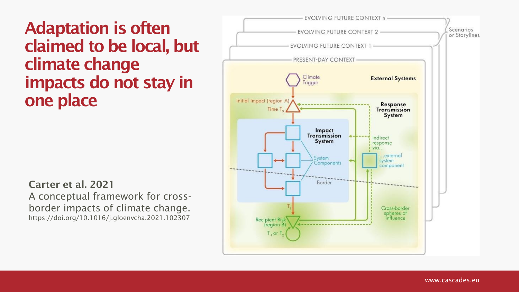Adaptation is often claimed to be local, but climate change impacts do not stay in one place

Carter et al. 2021 A conceptual framework for crossborder impacts of climate change. https://doi.org/10.1016/j.gloenvcha.2021.102307

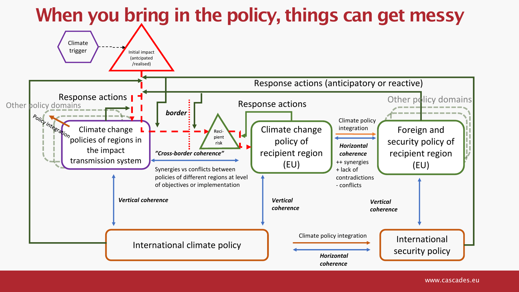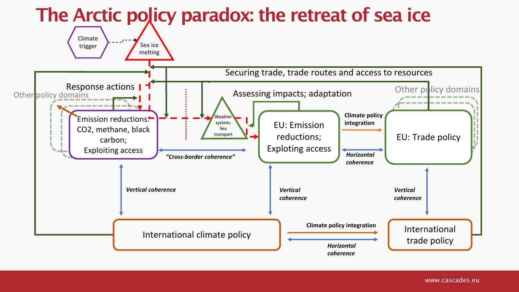

## www.cascades.eu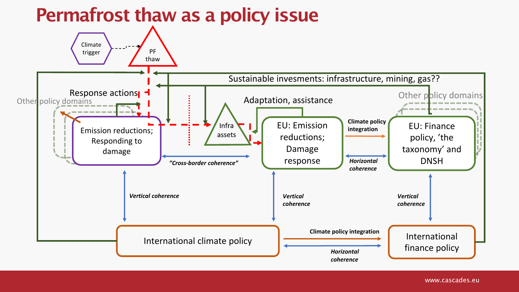## Permafrost thaw as a policy issue